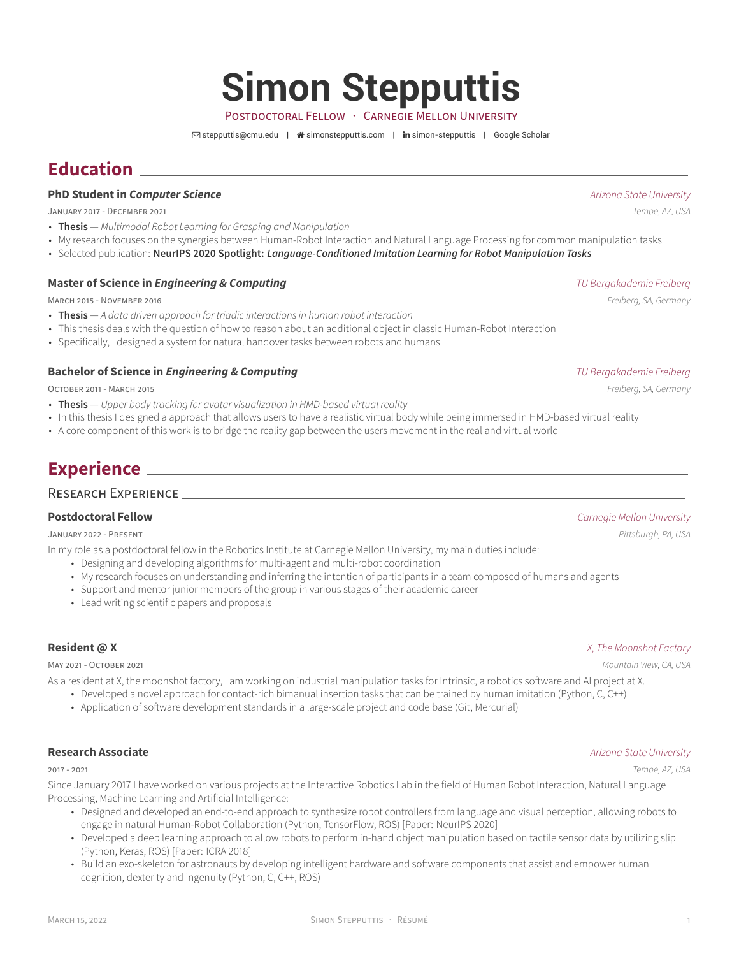# **Simon Stepputtis**

POSTDOCTORAL FELLOW · CARNEGIE MELLON UNIVERSITY

 $\boxdot$  [stepputtis@cmu.edu](mailto:stepputtis@cmu.edu) |  $\triangleq$  [simonstepputtis.com](http://simonstepputtis.com) | in [simon-stepputtis](https://www.linkedin.com/in/simon-stepputtis) | [Google Scholar](https://scholar.google.com/citations?user=WUQgzsAAAAAJ)

# **Education**

### **PhD Student in** *Computer Science Arizona State University*

JANUARY 2017 - DECEMBER 2021 *Tempe, AZ, USA*

- **Thesis** *Multimodal Robot Learning for Grasping and Manipulation*
- My research focuses on the synergies between Human-Robot Interaction and Natural Language Processing for common manipulation tasks
- Selected publication: **NeurIPS 2020 Spotlight:** *Language-Conditioned Imitation Learning for Robot Manipulation Tasks*

### **Master of Science in** *Engineering & Computing**TU Bergakademie Freiberg**TU Bergakademie Freiberg*

MARCH 2015 - NOVEMBER 2016 *Freiberg, SA, Germany*

- **Thesis** *A data driven approach for triadic interactions in human robot interaction*
- This thesis deals with the question of how to reason about an additional object in classic Human-Robot Interaction
- Specifically, I designed a system for natural handover tasks between robots and humans

### **Bachelor of Science in** *Engineering & Computing**Computing**Engineering the Science of Bergakademie Freiberg**TU Bergakademie Freiberg*

OCTOBER 2011 - MARCH 2015 *Freiberg, SA, Germany*

- **Thesis** *Upper body tracking for avatar visualization in HMD-based virtual reality*
- In this thesis I designed a approach that allows users to have a realistic virtual body while being immersed in HMD-based virtual reality
- A core component of this work is to bridge the reality gap between the users movement in the real and virtual world

# **Experience**

### RESEARCH EXPERIENCE

JANUARY 2022 - PRESENT *Pittsburgh, PA, USA*

- In my role as a postdoctoral fellow in the Robotics Institute at Carnegie Mellon University, my main duties include:
	- Designing and developing algorithms for multi-agent and multi-robot coordination
	- My research focuses on understanding and inferring the intention of participants in a team composed of humans and agents
	- Support and mentor junior members of the group in various stages of their academic career
	- Lead writing scientific papers and proposals

### **Resident @ X** *X, The Moonshot Factory*

MAY 2021 - OCTOBER 2021 *Mountain View, CA, USA*

As a resident at X, the moonshot factory, I am working on industrial manipulation tasks for Intrinsic, a robotics software and AI project at X.

- Developed a novel approach for contact-rich bimanual insertion tasks that can be trained by human imitation (Python, C, C++)
- Application of software development standards in a large-scale project and code base (Git, Mercurial)

### **Research Associate** *Arizona State University*

Since January 2017 I have worked on various projects at the Interactive Robotics Lab in the field of Human Robot Interaction, Natural Language Processing, Machine Learning and Artificial Intelligence:

- Designed and developed an end-to-end approach to synthesize robot controllers from language and visual perception, allowing robots to engage in natural Human-Robot Collaboration (Python, TensorFlow, ROS) [Paper: NeurIPS 2020]
- Developed a deep learning approach to allow robots to perform in-hand object manipulation based on tactile sensor data by utilizing slip (Python, Keras, ROS) [Paper: ICRA 2018]
- Build an exo-skeleton for astronauts by developing intelligent hardware and software components that assist and empower human cognition, dexterity and ingenuity (Python, C, C++, ROS)

### **Postdoctoral Fellow** *Carnegie Mellon University*

### 2017 - 2021 *Tempe, AZ, USA*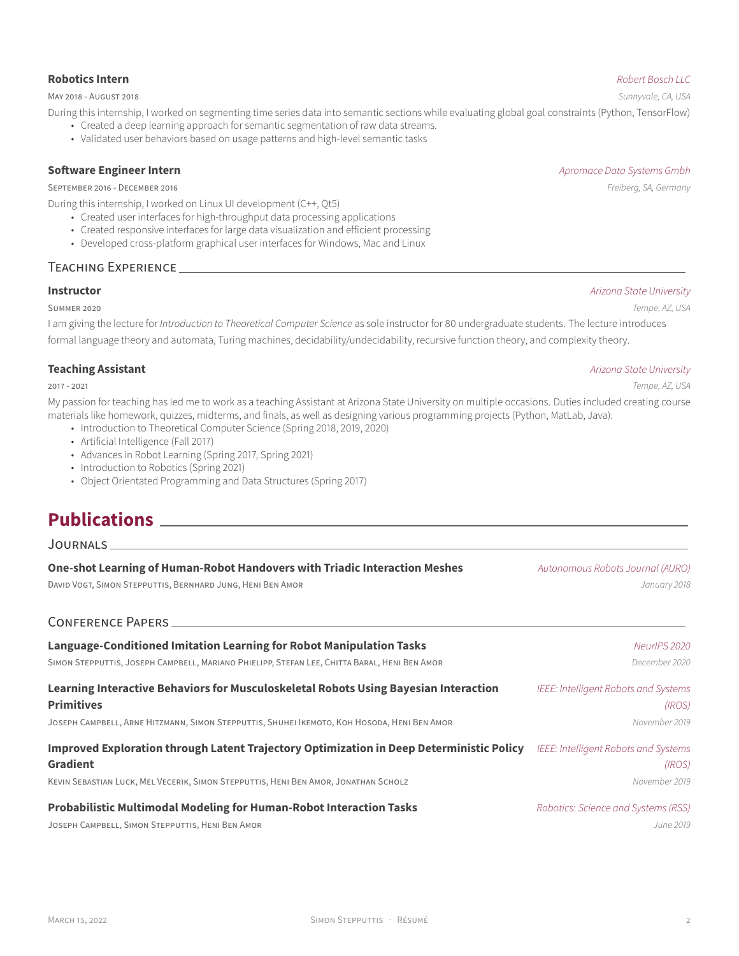### **Robotics Intern** *Robert Bosch LLC*

MAY 2018 - AUGUST 2018 *Sunnyvale, CA, USA*

- During this internship, I worked on segmenting time series data into semantic sections while evaluating global goal constraints (Python, TensorFlow)
	- Created a deep learning approach for semantic segmentation of raw data streams.
	- Validated user behaviors based on usage patterns and high-level semantic tasks

### **Software Engineer Intern** *Apromace Data Systems Gmbh*

SEPTEMBER 2016 - DECEMBER 2016 *Freiberg, SA, Germany*

During this internship, I worked on Linux UI development (C++, Qt5)

- Created user interfaces for high-throughput data processing applications
- Created responsive interfaces for large data visualization and efficient processing
- Developed cross-platform graphical user interfaces for Windows, Mac and Linux

### TEACHING EXPERIENCE

### **Instructor** *Arizona State University*

### SUMMER 2020 *Tempe, AZ, USA*

I am giving the lecture for *Introduction to Theoretical Computer Science* as sole instructor for 80 undergraduate students. The lecture introduces formal language theory and automata, Turing machines, decidability/undecidability, recursive function theory, and complexity theory.

My passion for teaching has led me to work as a teaching Assistant at Arizona State University on multiple occasions. Duties included creating course materials like homework, quizzes, midterms, and finals, as well as designing various programming projects (Python, MatLab, Java).

- Introduction to Theoretical Computer Science (Spring 2018, 2019, 2020)
- Artificial Intelligence (Fall 2017)
- Advances in Robot Learning (Spring 2017, Spring 2021)
- Introduction to Robotics (Spring 2021)
- Object Orientated Programming and Data Structures (Spring 2017)

# **Publications**

JOURNALS

| One-shot Learning of Human-Robot Handovers with Triadic Interaction Meshes<br>DAVID VOGT, SIMON STEPPUTTIS, BERNHARD JUNG, HENI BEN AMOR | Autonomous Robots Journal (AURO)<br>January 2018 |
|------------------------------------------------------------------------------------------------------------------------------------------|--------------------------------------------------|
| <b>CONFERENCE PAPERS</b>                                                                                                                 |                                                  |
| Language-Conditioned Imitation Learning for Robot Manipulation Tasks                                                                     | NeurlPS 2020                                     |
| SIMON STEPPUTTIS, JOSEPH CAMPBELL, MARIANO PHIELIPP, STEFAN LEE, CHITTA BARAL, HENI BEN AMOR                                             | December 2020                                    |
| Learning Interactive Behaviors for Musculoskeletal Robots Using Bayesian Interaction<br><b>Primitives</b>                                | IEEE: Intelligent Robots and Systems<br>(IROS)   |
| JOSEPH CAMPBELL, ARNE HITZMANN, SIMON STEPPUTTIS, SHUHEI IKEMOTO, KOH HOSODA, HENI BEN AMOR                                              | November 2019                                    |
| Improved Exploration through Latent Trajectory Optimization in Deep Deterministic Policy<br><b>Gradient</b>                              | IEEE: Intelligent Robots and Systems<br>(IROS)   |
| KEVIN SEBASTIAN LUCK, MEL VECERIK, SIMON STEPPUTTIS, HENI BEN AMOR, JONATHAN SCHOLZ                                                      | November 2019                                    |
| <b>Probabilistic Multimodal Modeling for Human-Robot Interaction Tasks</b>                                                               | Robotics: Science and Systems (RSS)              |

JOSEPH CAMPBELL, SIMON STEPPUTTIS, HENI BEN AMOR *June 2019*



### **Teaching Assistant** *Arizona State University*

2017 - 2021 *Tempe, AZ, USA*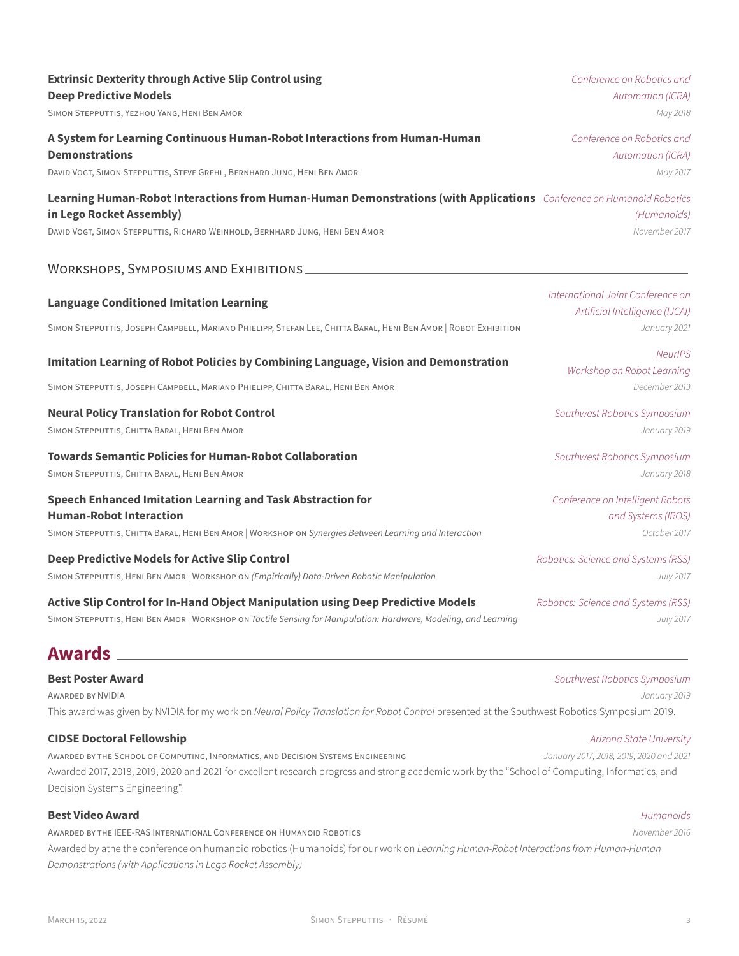| <b>Extrinsic Dexterity through Active Slip Control using</b>                                                                                                                                                                     | Conference on Robotics and                                                           |
|----------------------------------------------------------------------------------------------------------------------------------------------------------------------------------------------------------------------------------|--------------------------------------------------------------------------------------|
| <b>Deep Predictive Models</b>                                                                                                                                                                                                    | Automation (ICRA)                                                                    |
| SIMON STEPPUTTIS, YEZHOU YANG, HENI BEN AMOR                                                                                                                                                                                     | May 2018                                                                             |
| A System for Learning Continuous Human-Robot Interactions from Human-Human                                                                                                                                                       | Conference on Robotics and                                                           |
| <b>Demonstrations</b>                                                                                                                                                                                                            | <b>Automation (ICRA)</b>                                                             |
| DAVID VOGT, SIMON STEPPUTTIS, STEVE GREHL, BERNHARD JUNG, HENI BEN AMOR                                                                                                                                                          | May 2017                                                                             |
| Learning Human-Robot Interactions from Human-Human Demonstrations (with Applications Conference on Humanoid Robotics<br>in Lego Rocket Assembly)<br>DAVID VOGT, SIMON STEPPUTTIS, RICHARD WEINHOLD, BERNHARD JUNG, HENI BEN AMOR | (Humanoids)<br>November 2017                                                         |
| WORKSHOPS, SYMPOSIUMS AND EXHIBITIONS                                                                                                                                                                                            |                                                                                      |
| <b>Language Conditioned Imitation Learning</b><br>SIMON STEPPUTTIS, JOSEPH CAMPBELL, MARIANO PHIELIPP, STEFAN LEE, CHITTA BARAL, HENI BEN AMOR   ROBOT EXHIBITION                                                                | International Joint Conference on<br>Artificial Intelligence (IJCAI)<br>January 2021 |
| Imitation Learning of Robot Policies by Combining Language, Vision and Demonstration<br>SIMON STEPPUTTIS, JOSEPH CAMPBELL, MARIANO PHIELIPP, CHITTA BARAL, HENI BEN AMOR                                                         | <b>NeurIPS</b><br>Workshop on Robot Learning<br>December 2019                        |
| <b>Neural Policy Translation for Robot Control</b>                                                                                                                                                                               | Southwest Robotics Symposium                                                         |
| SIMON STEPPUTTIS, CHITTA BARAL, HENI BEN AMOR                                                                                                                                                                                    | January 2019                                                                         |
| <b>Towards Semantic Policies for Human-Robot Collaboration</b>                                                                                                                                                                   | Southwest Robotics Symposium                                                         |
| SIMON STEPPUTTIS, CHITTA BARAL, HENI BEN AMOR                                                                                                                                                                                    | January 2018                                                                         |
| <b>Speech Enhanced Imitation Learning and Task Abstraction for</b>                                                                                                                                                               | Conference on Intelligent Robots                                                     |
| <b>Human-Robot Interaction</b>                                                                                                                                                                                                   | and Systems (IROS)                                                                   |
| SIMON STEPPUTTIS, CHITTA BARAL, HENI BEN AMOR   WORKSHOP ON Synergies Between Learning and Interaction                                                                                                                           | October 2017                                                                         |
| <b>Deep Predictive Models for Active Slip Control</b>                                                                                                                                                                            | Robotics: Science and Systems (RSS)                                                  |
| SIMON STEPPUTTIS, HENI BEN AMOR   WORKSHOP ON (Empirically) Data-Driven Robotic Manipulation                                                                                                                                     | <b>July 2017</b>                                                                     |
| Active Slip Control for In-Hand Object Manipulation using Deep Predictive Models                                                                                                                                                 | Robotics: Science and Systems (RSS)                                                  |
| SIMON STEPPUTTIS, HENI BEN AMOR   WORKSHOP ON Tactile Sensing for Manipulation: Hardware, Modeling, and Learning                                                                                                                 | July 2017                                                                            |
| <b>Awards</b>                                                                                                                                                                                                                    |                                                                                      |

AWARDED BY NVIDIA *January 2019* This award was given by NVIDIA for my work on *Neural Policy Translation for Robot Control* presented at the Southwest Robotics Symposium 2019.

**Best Poster Award** *Southwest Robotics Symposium*

### **CIDSE Doctoral Fellowship** *Arizona State University*

AWARDED BY THE SCHOOL OF COMPUTING, INFORMATICS, AND DECISION SYSTEMS ENGINEERING *January 2017, 2018, 2019, 2020 and 2021* Awarded 2017, 2018, 2019, 2020 and 2021 for excellent research progress and strong academic work by the "School of Computing, Informatics, and Decision Systems Engineering".

### **Best Video Award** *Humanoids*

AWARDED BY THE IEEE-RAS INTERNATIONAL CONFERENCE ON HUMANOID ROBOTICS *November 2016*

Awarded by athe the conference on humanoid robotics (Humanoids) for our work on *Learning Human-Robot Interactions from Human-Human Demonstrations (with Applications in Lego Rocket Assembly)*